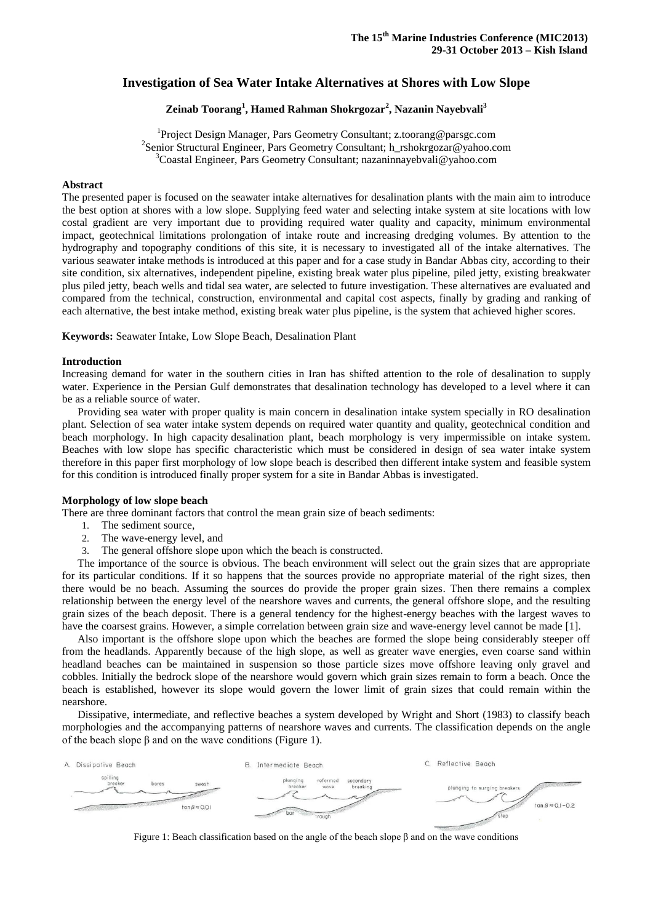# **Investigation of Sea Water Intake Alternatives at Shores with Low Slope**

# **Zeinab Toorang<sup>1</sup> , Hamed Rahman Shokrgozar<sup>2</sup> , Nazanin Nayebvali<sup>3</sup>**

<sup>1</sup>Project Design Manager, Pars Geometry Consultant; z.toorang@parsgc.com 2 Senior Structural Engineer, Pars Geometry Consultant; h\_rshokrgozar@yahoo.com <sup>3</sup>Coastal Engineer, Pars Geometry Consultant; nazaninnayebvali@yahoo.com

# **Abstract**

The presented paper is focused on the seawater intake alternatives for desalination plants with the main aim to introduce the best option at shores with a low slope. Supplying feed water and selecting intake system at site locations with low costal gradient are very important due to providing required water quality and capacity, minimum environmental impact, geotechnical limitations prolongation of intake route and increasing dredging volumes. By attention to the hydrography and topography conditions of this site, it is necessary to investigated all of the intake alternatives. The various seawater intake methods is introduced at this paper and for a case study in Bandar Abbas city, according to their site condition, six alternatives, independent pipeline, existing break water plus pipeline, piled jetty, existing breakwater plus piled jetty, beach wells and tidal sea water, are selected to future investigation. These alternatives are evaluated and compared from the technical, construction, environmental and capital cost aspects, finally by grading and ranking of each alternative, the best intake method, existing break water plus pipeline, is the system that achieved higher scores.

**Keywords:** Seawater Intake, Low Slope Beach, Desalination Plant

#### **Introduction**

Increasing demand for water in the southern cities in Iran has shifted attention to the role of desalination to supply water. Experience in the Persian Gulf demonstrates that desalination technology has developed to a level where it can be as a reliable source of water.

Providing sea water with proper quality is main concern in desalination intake system specially in RO desalination plant. Selection of sea water intake system depends on required water quantity and quality, geotechnical condition and beach morphology. In high capacity desalination plant, beach morphology is very impermissible on intake system. Beaches with low slope has specific characteristic which must be considered in design of sea water intake system therefore in this paper first morphology of low slope beach is described then different intake system and feasible system for this condition is introduced finally proper system for a site in Bandar Abbas is investigated.

# **Morphology of low slope beach**

There are three dominant factors that control the mean grain size of beach sediments:

- 1. The sediment source,
- 2. The wave-energy level, and
- 3. The general offshore slope upon which the beach is constructed.

The importance of the source is obvious. The beach environment will select out the grain sizes that are appropriate for its particular conditions. If it so happens that the sources provide no appropriate material of the right sizes, then there would be no beach. Assuming the sources do provide the proper grain sizes. Then there remains a complex relationship between the energy level of the nearshore waves and currents, the general offshore slope, and the resulting grain sizes of the beach deposit. There is a general tendency for the highest-energy beaches with the largest waves to have the coarsest grains. However, a simple correlation between grain size and wave-energy level cannot be made [1].

Also important is the offshore slope upon which the beaches are formed the slope being considerably steeper off from the headlands. Apparently because of the high slope, as well as greater wave energies, even coarse sand within headland beaches can be maintained in suspension so those particle sizes move offshore leaving only gravel and cobbles. Initially the bedrock slope of the nearshore would govern which grain sizes remain to form a beach. Once the beach is established, however its slope would govern the lower limit of grain sizes that could remain within the nearshore.

Dissipative, intermediate, and reflective beaches a system developed by Wright and Short (1983) to classify beach morphologies and the accompanying patterns of nearshore waves and currents. The classification depends on the angle of the beach slope β and on the wave conditions [\(Figure 1\)](#page-0-0).



<span id="page-0-0"></span>Figure 1: Beach classification based on the angle of the beach slope β and on the wave conditions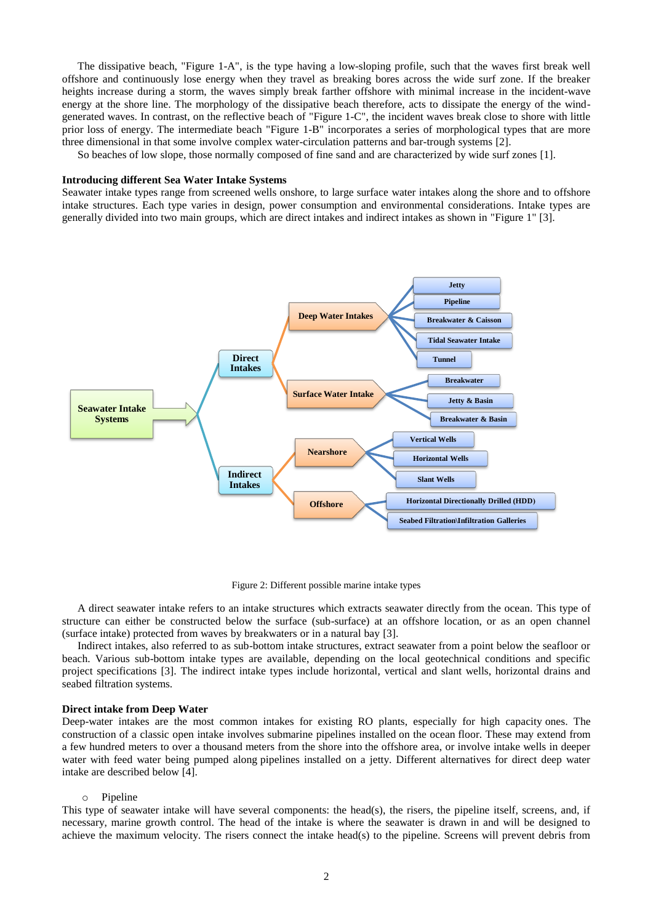The dissipative beach, ["Figure 1-](#page-0-0)A", is the type having a low-sloping profile, such that the waves first break well offshore and continuously lose energy when they travel as breaking bores across the wide surf zone. If the breaker heights increase during a storm, the waves simply break farther offshore with minimal increase in the incident-wave energy at the shore line. The morphology of the dissipative beach therefore, acts to dissipate the energy of the windgenerated waves. In contrast, on the reflective beach of ["Figure 1-](#page-0-0)C", the incident waves break close to shore with little prior loss of energy. The intermediate beach ["Figure 1-](#page-0-0)B" incorporates a series of morphological types that are more three dimensional in that some involve complex water-circulation patterns and bar-trough systems [2].

So beaches of low slope, those normally composed of fine sand and are characterized by wide surf zones [1].

#### **Introducing different Sea Water Intake Systems**

Seawater intake types range from screened wells onshore, to large surface water intakes along the shore and to offshore intake structures. Each type varies in design, power consumption and environmental considerations. Intake types are generally divided into two main groups, which are direct intakes and indirect intakes as shown in ["Figure 1"](#page-0-0) [3].



Figure 2: Different possible marine intake types

<span id="page-1-0"></span>A direct seawater intake refers to an intake structures which extracts seawater directly from the ocean. This type of structure can either be constructed below the surface (sub-surface) at an offshore location, or as an open channel (surface intake) protected from waves by breakwaters or in a natural bay [3].

Indirect intakes, also referred to as sub-bottom intake structures, extract seawater from a point below the seafloor or beach. Various sub-bottom intake types are available, depending on the local geotechnical conditions and specific project specifications [3]. The indirect intake types include horizontal, vertical and slant wells, horizontal drains and seabed filtration systems.

#### **Direct intake from Deep Water**

Deep-water intakes are the most common intakes for existing RO plants, especially for high capacity ones. The construction of a classic open intake involves submarine pipelines installed on the ocean floor. These may extend from a few hundred meters to over a thousand meters from the shore into the offshore area, or involve intake wells in deeper water with feed water being pumped along pipelines installed on a jetty. Different alternatives for direct deep water intake are described below [4].

#### o Pipeline

This type of seawater intake will have several components: the head(s), the risers, the pipeline itself, screens, and, if necessary, marine growth control. The head of the intake is where the seawater is drawn in and will be designed to achieve the maximum velocity. The risers connect the intake head(s) to the pipeline. Screens will prevent debris from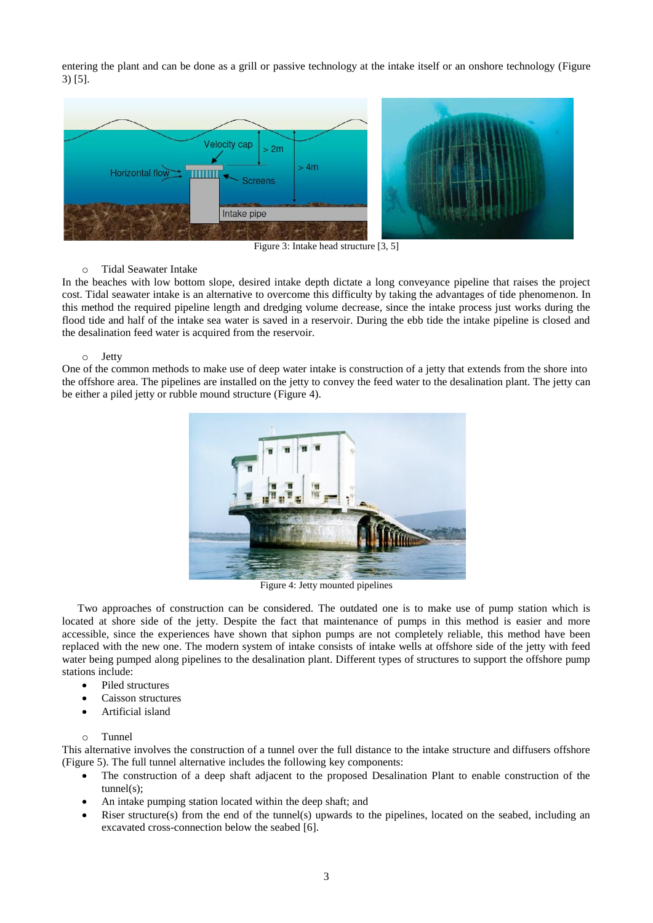entering the plant and can be done as a grill or passive technology at the intake itself or an onshore technology [\(Figure](#page-2-0)  [3\)](#page-2-0) [5].



Figure 3: Intake head structure [3, 5]

# <span id="page-2-0"></span>o Tidal Seawater Intake

In the beaches with low bottom slope, desired intake depth dictate a long conveyance pipeline that raises the project cost. Tidal seawater intake is an alternative to overcome this difficulty by taking the advantages of tide phenomenon. In this method the required pipeline length and dredging volume decrease, since the intake process just works during the flood tide and half of the intake sea water is saved in a reservoir. During the ebb tide the intake pipeline is closed and the desalination feed water is acquired from the reservoir.

# o Jetty

One of the common methods to make use of deep water intake is construction of a jetty that extends from the shore into the offshore area. The pipelines are installed on the jetty to convey the feed water to the desalination plant. The jetty can be either a piled jetty or rubble mound structure [\(Figure 4\)](#page-2-1).



Figure 4: Jetty mounted pipelines

<span id="page-2-1"></span>Two approaches of construction can be considered. The outdated one is to make use of pump station which is located at shore side of the jetty. Despite the fact that maintenance of pumps in this method is easier and more accessible, since the experiences have shown that siphon pumps are not completely reliable, this method have been replaced with the new one. The modern system of intake consists of intake wells at offshore side of the jetty with feed water being pumped along pipelines to the desalination plant. Different types of structures to support the offshore pump stations include:

- Piled structures
- Caisson structures
- Artificial island

# $\sim$  Tunnel

This alternative involves the construction of a tunnel over the full distance to the intake structure and diffusers offshore [\(Figure 5\)](#page-3-0). The full tunnel alternative includes the following key components:

- The construction of a deep shaft adjacent to the proposed Desalination Plant to enable construction of the tunnel(s);
- An intake pumping station located within the deep shaft; and
- Riser structure(s) from the end of the tunnel(s) upwards to the pipelines, located on the seabed, including an excavated cross-connection below the seabed [6].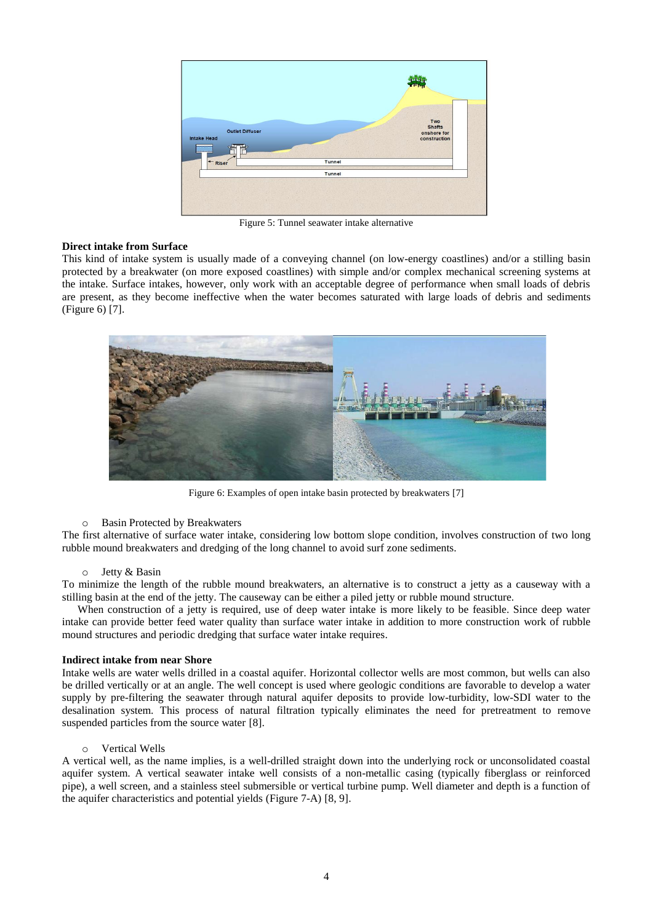

Figure 5: Tunnel seawater intake alternative

# <span id="page-3-0"></span>**Direct intake from Surface**

This kind of intake system is usually made of a conveying channel (on low-energy coastlines) and/or a stilling basin protected by a breakwater (on more exposed coastlines) with simple and/or complex mechanical screening systems at the intake. Surface intakes, however, only work with an acceptable degree of performance when small loads of debris are present, as they become ineffective when the water becomes saturated with large loads of debris and sediments [\(Figure 6\)](#page-3-1) [7].



Figure 6: Examples of open intake basin protected by breakwaters [7]

# <span id="page-3-1"></span>o Basin Protected by Breakwaters

The first alternative of surface water intake, considering low bottom slope condition, involves construction of two long rubble mound breakwaters and dredging of the long channel to avoid surf zone sediments.

# o Jetty & Basin

To minimize the length of the rubble mound breakwaters, an alternative is to construct a jetty as a causeway with a stilling basin at the end of the jetty. The causeway can be either a piled jetty or rubble mound structure.

When construction of a jetty is required, use of deep water intake is more likely to be feasible. Since deep water intake can provide better feed water quality than surface water intake in addition to more construction work of rubble mound structures and periodic dredging that surface water intake requires.

# **Indirect intake from near Shore**

Intake wells are water wells drilled in a coastal aquifer. Horizontal collector wells are most common, but wells can also be drilled vertically or at an angle. The well concept is used where geologic conditions are favorable to develop a water supply by pre-filtering the seawater through natural aquifer deposits to provide low-turbidity, low-SDI water to the desalination system. This process of natural filtration typically eliminates the need for pretreatment to remove suspended particles from the source water [8].

# o Vertical Wells

A vertical well, as the name implies, is a well-drilled straight down into the underlying rock or unconsolidated coastal aquifer system. A vertical seawater intake well consists of a non-metallic casing (typically fiberglass or reinforced pipe), a well screen, and a stainless steel submersible or vertical turbine pump. Well diameter and depth is a function of the aquifer characteristics and potential yields [\(Figure 7-](#page-4-0)A) [8, 9].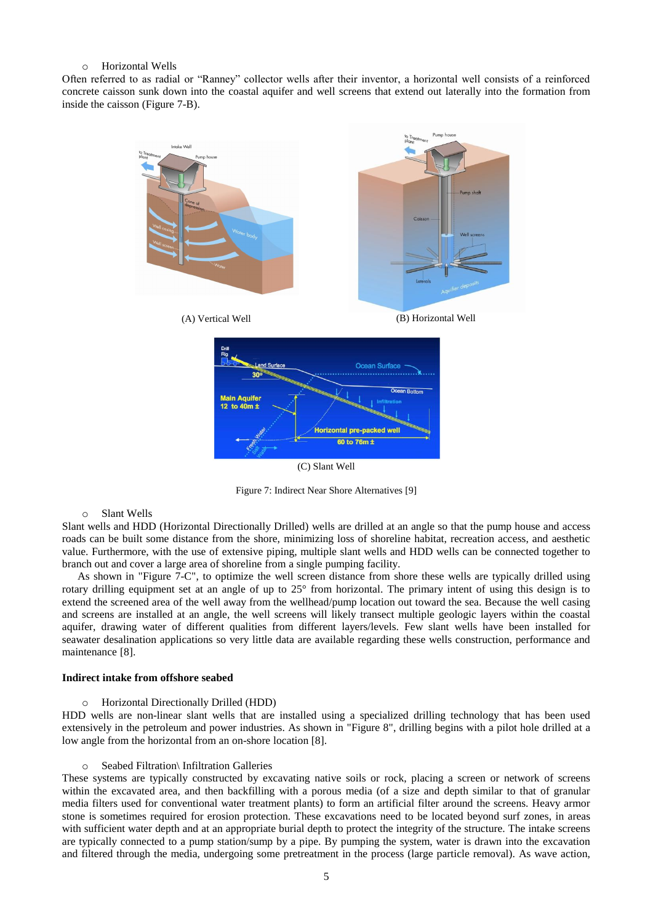# o Horizontal Wells

Often referred to as radial or "Ranney" collector wells after their inventor, a horizontal well consists of a reinforced concrete caisson sunk down into the coastal aquifer and well screens that extend out laterally into the formation from inside the caisson [\(Figure 7-](#page-4-0)B).



Figure 7: Indirect Near Shore Alternatives [9]

#### <span id="page-4-0"></span>o Slant Wells

Slant wells and HDD (Horizontal Directionally Drilled) wells are drilled at an angle so that the pump house and access roads can be built some distance from the shore, minimizing loss of shoreline habitat, recreation access, and aesthetic value. Furthermore, with the use of extensive piping, multiple slant wells and HDD wells can be connected together to branch out and cover a large area of shoreline from a single pumping facility.

As shown in ["Figure 7-](#page-4-0)C", to optimize the well screen distance from shore these wells are typically drilled using rotary drilling equipment set at an angle of up to 25° from horizontal. The primary intent of using this design is to extend the screened area of the well away from the wellhead/pump location out toward the sea. Because the well casing and screens are installed at an angle, the well screens will likely transect multiple geologic layers within the coastal aquifer, drawing water of different qualities from different layers/levels. Few slant wells have been installed for seawater desalination applications so very little data are available regarding these wells construction, performance and maintenance [8].

# **Indirect intake from offshore seabed**

o Horizontal Directionally Drilled (HDD)

HDD wells are non-linear slant wells that are installed using a specialized drilling technology that has been used extensively in the petroleum and power industries. As shown in ["Figure 8"](#page-5-0), drilling begins with a pilot hole drilled at a low angle from the horizontal from an on-shore location [8].

#### o Seabed Filtration\ Infiltration Galleries

These systems are typically constructed by excavating native soils or rock, placing a screen or network of screens within the excavated area, and then backfilling with a porous media (of a size and depth similar to that of granular media filters used for conventional water treatment plants) to form an artificial filter around the screens. Heavy armor stone is sometimes required for erosion protection. These excavations need to be located beyond surf zones, in areas with sufficient water depth and at an appropriate burial depth to protect the integrity of the structure. The intake screens are typically connected to a pump station/sump by a pipe. By pumping the system, water is drawn into the excavation and filtered through the media, undergoing some pretreatment in the process (large particle removal). As wave action,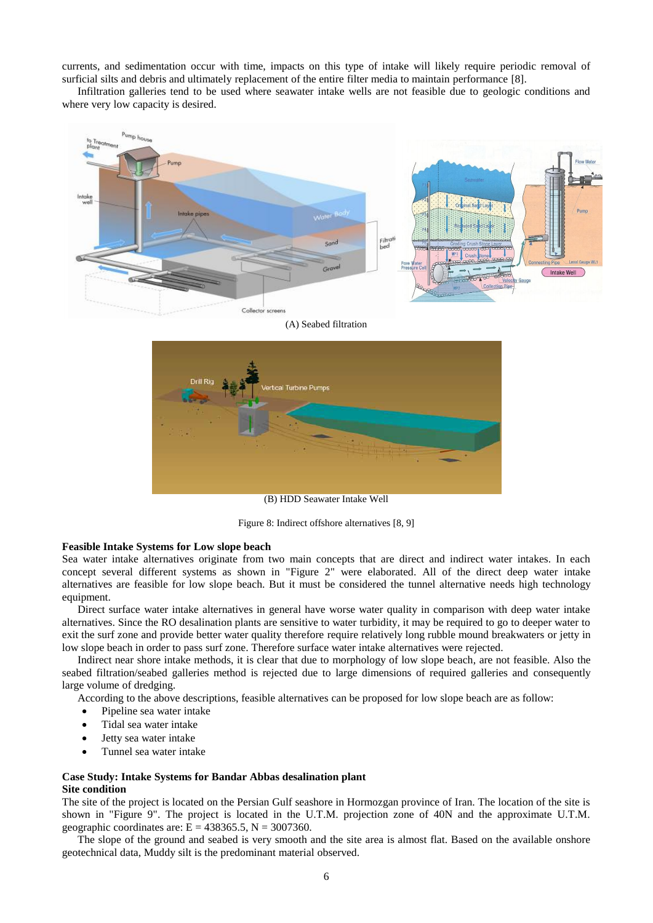currents, and sedimentation occur with time, impacts on this type of intake will likely require periodic removal of surficial silts and debris and ultimately replacement of the entire filter media to maintain performance [8].

Infiltration galleries tend to be used where seawater intake wells are not feasible due to geologic conditions and where very low capacity is desired.



(A) Seabed filtration



Figure 8: Indirect offshore alternatives [8, 9]

#### <span id="page-5-0"></span>**Feasible Intake Systems for Low slope beach**

Sea water intake alternatives originate from two main concepts that are direct and indirect water intakes. In each concept several different systems as shown in ["Figure 2"](#page-1-0) were elaborated. All of the direct deep water intake alternatives are feasible for low slope beach. But it must be considered the tunnel alternative needs high technology equipment.

Direct surface water intake alternatives in general have worse water quality in comparison with deep water intake alternatives. Since the RO desalination plants are sensitive to water turbidity, it may be required to go to deeper water to exit the surf zone and provide better water quality therefore require relatively long rubble mound breakwaters or jetty in low slope beach in order to pass surf zone. Therefore surface water intake alternatives were rejected.

Indirect near shore intake methods, it is clear that due to morphology of low slope beach, are not feasible. Also the seabed filtration/seabed galleries method is rejected due to large dimensions of required galleries and consequently large volume of dredging.

According to the above descriptions, feasible alternatives can be proposed for low slope beach are as follow:

- Pipeline sea water intake
- Tidal sea water intake
- Jetty sea water intake
- Tunnel sea water intake

#### **Case Study: Intake Systems for Bandar Abbas desalination plant Site condition**

The site of the project is located on the Persian Gulf seashore in Hormozgan province of Iran. The location of the site is shown in ["Figure 9"](#page-6-0). The project is located in the U.T.M. projection zone of 40N and the approximate U.T.M. geographic coordinates are:  $E = 438365.5$ ,  $N = 3007360$ .

The slope of the ground and seabed is very smooth and the site area is almost flat. Based on the available onshore geotechnical data, Muddy silt is the predominant material observed.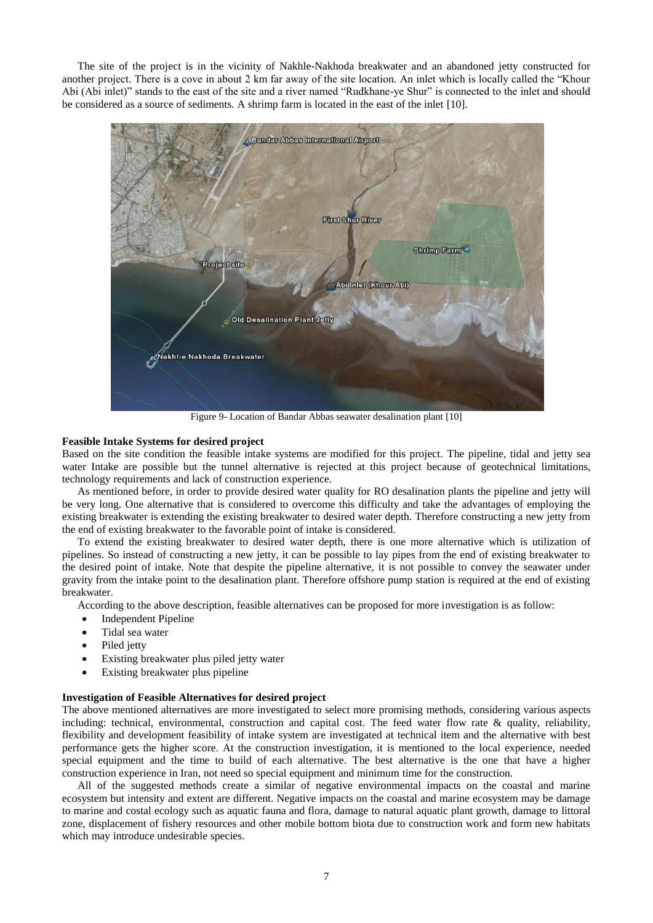The site of the project is in the vicinity of Nakhle-Nakhoda breakwater and an abandoned jetty constructed for another project. There is a cove in about 2 km far away of the site location. An inlet which is locally called the "Khour Abi (Abi inlet)" stands to the east of the site and a river named "Rudkhane-ye Shur" is connected to the inlet and should be considered as a source of sediments. A shrimp farm is located in the east of the inlet [10].



Figure 9- Location of Bandar Abbas seawater desalination plant [10]

# <span id="page-6-0"></span>**Feasible Intake Systems for desired project**

Based on the site condition the feasible intake systems are modified for this project. The pipeline, tidal and jetty sea water Intake are possible but the tunnel alternative is rejected at this project because of geotechnical limitations, technology requirements and lack of construction experience.

As mentioned before, in order to provide desired water quality for RO desalination plants the pipeline and jetty will be very long. One alternative that is considered to overcome this difficulty and take the advantages of employing the existing breakwater is extending the existing breakwater to desired water depth. Therefore constructing a new jetty from the end of existing breakwater to the favorable point of intake is considered.

To extend the existing breakwater to desired water depth, there is one more alternative which is utilization of pipelines. So instead of constructing a new jetty, it can be possible to lay pipes from the end of existing breakwater to the desired point of intake. Note that despite the pipeline alternative, it is not possible to convey the seawater under gravity from the intake point to the desalination plant. Therefore offshore pump station is required at the end of existing breakwater.

According to the above description, feasible alternatives can be proposed for more investigation is as follow:

- Independent Pipeline
- Tidal sea water
- Piled jetty
- Existing breakwater plus piled jetty water
- Existing breakwater plus pipeline

#### **Investigation of Feasible Alternatives for desired project**

The above mentioned alternatives are more investigated to select more promising methods, considering various aspects including: technical, environmental, construction and capital cost. The feed water flow rate  $\&$  quality, reliability, flexibility and development feasibility of intake system are investigated at technical item and the alternative with best performance gets the higher score. At the construction investigation, it is mentioned to the local experience, needed special equipment and the time to build of each alternative. The best alternative is the one that have a higher construction experience in Iran, not need so special equipment and minimum time for the construction.

All of the suggested methods create a similar of negative environmental impacts on the coastal and marine ecosystem but intensity and extent are different. Negative impacts on the coastal and marine ecosystem may be damage to marine and costal ecology such as aquatic fauna and flora, damage to natural aquatic plant growth, damage to littoral zone, displacement of fishery resources and other mobile bottom biota due to construction work and form new habitats which may introduce undesirable species.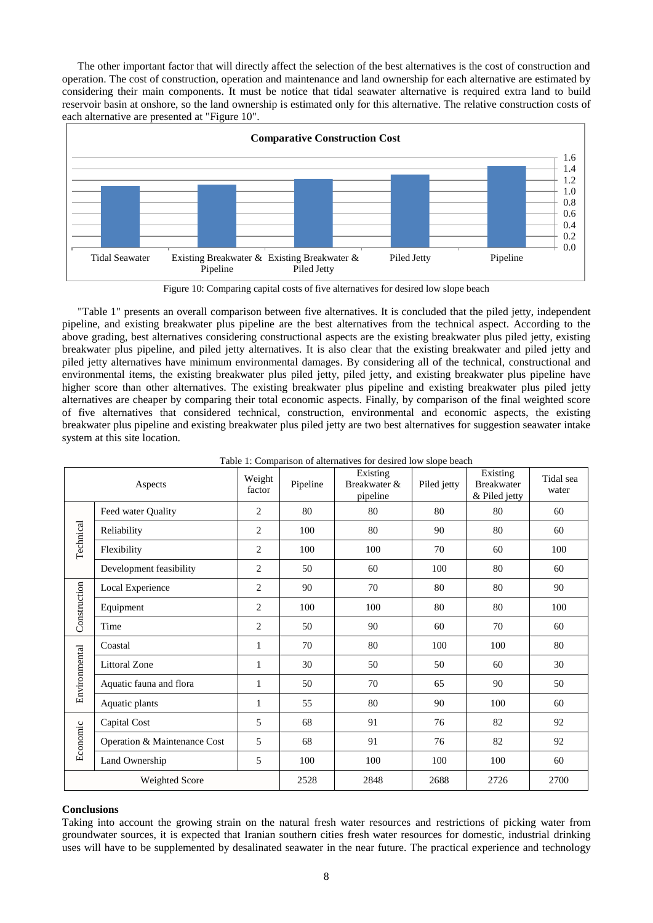The other important factor that will directly affect the selection of the best alternatives is the cost of construction and operation. The cost of construction, operation and maintenance and land ownership for each alternative are estimated by considering their main components. It must be notice that tidal seawater alternative is required extra land to build reservoir basin at onshore, so the land ownership is estimated only for this alternative. The relative construction costs of each alternative are presented at ["Figure 10"](#page-7-0).



Figure 10: Comparing capital costs of five alternatives for desired low slope beach

<span id="page-7-0"></span>"Table 1" presents an overall comparison between five alternatives. It is concluded that the piled jetty, independent pipeline, and existing breakwater plus pipeline are the best alternatives from the technical aspect. According to the above grading, best alternatives considering constructional aspects are the existing breakwater plus piled jetty, existing breakwater plus pipeline, and piled jetty alternatives. It is also clear that the existing breakwater and piled jetty and piled jetty alternatives have minimum environmental damages. By considering all of the technical, constructional and environmental items, the existing breakwater plus piled jetty, piled jetty, and existing breakwater plus pipeline have higher score than other alternatives. The existing breakwater plus pipeline and existing breakwater plus piled jetty alternatives are cheaper by comparing their total economic aspects. Finally, by comparison of the final weighted score of five alternatives that considered technical, construction, environmental and economic aspects, the existing breakwater plus pipeline and existing breakwater plus piled jetty are two best alternatives for suggestion seawater intake system at this site location.

| Aspects        |                              | Weight<br>factor | Pipeline | raole 1. Comparison of alternatives for desired fow stope ocaen<br>Existing<br>Breakwater &<br>pipeline | Piled jetty | Existing<br><b>Breakwater</b><br>& Piled jetty | Tidal sea<br>water |
|----------------|------------------------------|------------------|----------|---------------------------------------------------------------------------------------------------------|-------------|------------------------------------------------|--------------------|
| Technical      | Feed water Quality           | $\overline{2}$   | 80       | 80                                                                                                      | 80          | 80                                             | 60                 |
|                | Reliability                  | $\overline{2}$   | 100      | 80                                                                                                      | 90          | 80                                             | 60                 |
|                | Flexibility                  | $\overline{2}$   | 100      | 100                                                                                                     | 70          | 60                                             | 100                |
|                | Development feasibility      | 2                | 50       | 60                                                                                                      | 100         | 80                                             | 60                 |
| Construction   | Local Experience             | 2                | 90       | 70                                                                                                      | 80          | 80                                             | 90                 |
|                | Equipment                    | 2                | 100      | 100                                                                                                     | 80          | 80                                             | 100                |
|                | Time                         | 2                | 50       | 90                                                                                                      | 60          | 70                                             | 60                 |
| Environmental  | Coastal                      | 1                | 70       | 80                                                                                                      | 100         | 100                                            | 80                 |
|                | <b>Littoral Zone</b>         | 1                | 30       | 50                                                                                                      | 50          | 60                                             | 30                 |
|                | Aquatic fauna and flora      | $\mathbf{1}$     | 50       | 70                                                                                                      | 65          | 90                                             | 50                 |
|                | Aquatic plants               | $\mathbf{1}$     | 55       | 80                                                                                                      | 90          | 100                                            | 60                 |
| Economic       | Capital Cost                 | 5                | 68       | 91                                                                                                      | 76          | 82                                             | 92                 |
|                | Operation & Maintenance Cost | 5                | 68       | 91                                                                                                      | 76          | 82                                             | 92                 |
|                | Land Ownership               | 5                | 100      | 100                                                                                                     | 100         | 100                                            | 60                 |
| Weighted Score |                              |                  | 2528     | 2848                                                                                                    | 2688        | 2726                                           | 2700               |

Table 1: Comparison of alternatives for desired low slope beach

# **Conclusions**

Taking into account the growing strain on the natural fresh water resources and restrictions of picking water from groundwater sources, it is expected that Iranian southern cities fresh water resources for domestic, industrial drinking uses will have to be supplemented by desalinated seawater in the near future. The practical experience and technology